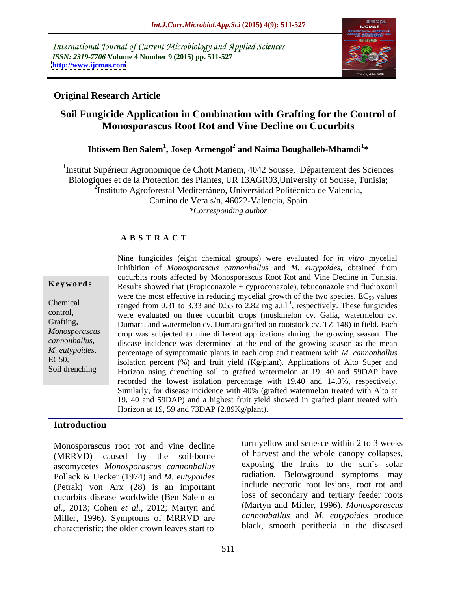International Journal of Current Microbiology and Applied Sciences *ISSN: 2319-7706* **Volume 4 Number 9 (2015) pp. 511-527 <http://www.ijcmas.com>**



## **Original Research Article**

## **Soil Fungicide Application in Combination with Grafting for the Control of Monosporascus Root Rot and Vine Decline on Cucurbits**

## **Ibtissem Ben Salem<sup>1</sup> , Josep Armengol<sup>2</sup> and Naima Boughalleb-Mhamdi<sup>1</sup> \***

<sup>1</sup>Institut Supérieur Agronomique de Chott Mariem, 4042 Sousse, Département des Sciences Biologiques et de la Protection des Plantes, UR 13AGR03,University of Sousse, Tunisia; <sup>2</sup>Instituto Agroforestal Mediterráneo, Universidad Politécnica de Valencia, Camino de Vera s/n, 46022-Valencia, Spain *\*Corresponding author*

## **A B S T R A C T**

Soil drenching

Nine fungicides (eight chemical groups) were evaluated for *in vitro* mycelial inhibition of *Monosporascus cannonballus* and *M. eutypoides*, obtained from cucurbits roots affected by Monosporascus Root Rot and Vine Decline in Tunisia. Results showed that (Propiconazole + cyproconazole), tebuconazole and fludioxonil were the most effective in reducing mycelial growth of the two species.  $EC_{50}$  values Chemical ranged from 0.31 to 3.33 and 0.55 to 2.82 mg a.i.l<sup>-1</sup>, respectively. These fungicides control, were evaluated on three cucurbit crops (muskmelon cv. Galia, watermelon cv. Grafting, Dumara, and watermelon cv. Dumara grafted on rootstock cv. TZ-148) in field. Each crop was subjected to nine different applications during the growing season. The *Monosporascus*  disease incidence was determined at the end of the growing season as the mean *cannonballus, M. eutypoides*, percentage of symptomatic plants in each crop and treatment with *M. cannonballus*<br>EC50, isolation percent (%) and fruit yield (Kg/plant) Applications of Alto Super and isolation percent  $(\%)$  and fruit yield (Kg/plant). Applications of Alto Super and Horizon using drenching soil to grafted watermelon at 19, 40 and 59DAP have recorded the lowest isolation percentage with 19.40 and 14.3%, respectively. Similarly, for disease incidence with 40% (grafted watermelon treated with Alto at 19, 40 and 59DAP) and a highest fruit yield showed in grafted plant treated with **Keywords**<br>
Results showed that (Propiconazole + cyproconazole), tebuconazole and fludioxonil<br>
were the most effective in reducing mycelial growth of the two species. EC<sub>50</sub> values<br>
control,<br>
control,<br>
were evaluated on t

## **Introduction**

Monosporascus root rot and vine decline (MRRVD) caused by the soil-borne ascomycetes *Monosporascus cannonballus* Pollack & Uecker (1974) and *M. eutypoides* (Petrak) von Arx (28) is an important cucurbits disease worldwide (Ben Salem *et al.,* 2013; Cohen *et al.,* 2012; Martyn and Miller, 1996). Symptoms of MRRVD are characteristic; the older crown leaves start to

turn yellow and senesce within 2 to 3 weeks of harvest and the whole canopy collapses, exposing the fruits to the sun's solar radiation. Belowground symptoms may include necrotic root lesions, root rot and loss of secondary and tertiary feeder roots (Martyn and Miller, 1996). *Monosporascus cannonballus* and *M*. *eutypoides* produce black, smooth perithecia in the diseased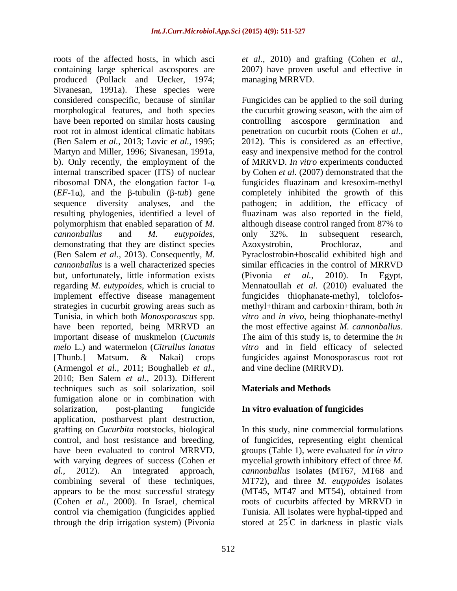roots of the affected hosts, in which asci *et al.,* 2010) and grafting (Cohen *et al.,* containing large spherical ascospores are 2007) have proven useful and effective in produced (Pollack and Uecker, 1974; Sivanesan, 1991a). These species were considered conspecific, because of similar Fungicides can be applied to the soil during morphological features, and both species have been reported on similar hosts causing controlling ascospore germination and root rot in almost identical climatic habitats penetration on cucurbit roots (Cohen *et al.,* (Ben Salem *et al.,* 2013; Lovic *et al.,* 1995; Martyn and Miller, 1996; Sivanesan, 1991a, easy and inexpensive method for the control<br>b). Only recently, the employment of the of MRRVD. In vitro experiments conducted internal transcribed spacer (ITS) of nuclear by Cohen *et al.* (2007) demonstrated that the ribosomal DNA, the elongation factor  $1-\alpha$  fungicides fluazinam and kresoxim-methyl  $(EF-1\alpha)$ , and the  $\beta$ -tubulin  $(\beta$ -*tub*) gene completely inhibited the growth of this sequence diversity analyses, and the pathogen; in addition, the efficacy of resulting phylogenies, identified a level of fluazinam was also reported in the field, polymorphism that enabled separation of *M.*  although disease control ranged from 87% to *cannonballus* and *M. eutypoides*, only 32%. In subsequent research, demonstrating that they are distinct species Azoxystrobin, Prochloraz, and (Ben Salem *et al.,* 2013). Consequently, *M.*  Pyraclostrobin+boscalid exhibited high and *cannonballus* is a well characterized species but, unfortunately, little information exists (Pivonia et al., 2010). In Egypt, regarding *M. eutypoides,* which is crucial to Mennatoullah *et al.* (2010) evaluated the implement effective disease management strategies in cucurbit growing areas such as Tunisia, in which both *Monosporascus* spp. *vitro* and *in vivo*, being thiophanate-methyl have been reported, being MRRVD an the most effective against *M. cannonballus*. important disease of muskmelon (*Cucumis* The aim of this study is, to determine the *in melo* L.) and watermelon (*Citrullus lanatus vitro* and in field efficacy of selected [Thunb.] Matsum. & Nakai) crops fungicides against Monosporascus root rot (Armengol *et al.,* 2011; Boughalleb *et al.,* 2010; Ben Salem *et al.,* 2013). Different techniques such as soil solarization, soil fumigation alone or in combination with solarization, post-planting fungicide **In vitro evaluation of fungicides** application, postharvest plant destruction, grafting on *Cucurbita* rootstocks, biological In this study, nine commercial formulations control, and host resistance and breeding, of fungicides, representing eight chemical have been evaluated to control MRRVD, groups (Table 1), were evaluated for *in vitro* with varying degrees of success (Cohen *et* mycelial growth inhibitory effect of three *M*. *al.,* 2012). An integrated approach, *cannonballus*isolates (MT67, MT68 and combining several of these techniques, MT72), and three *M. eutypoides* isolates appears to be the most successful strategy (MT45, MT47 and MT54), obtained from (Cohen *et al.,* 2000). In Israel, chemical roots of cucurbits affected by MRRVD in control via chemigation (fungicides applied Tunisia. All isolates were hyphal-tipped and through the drip irrigation system) (Pivonia stored at 25°C in darkness in plastic vials

managing MRRVD.

the cucurbit growing season, with the aim of 2012). This is considered as an effective, easy and inexpensive method for the control of MRRVD. *In vitro* experiments conducted only 32%. In subsequent research, Azoxystrobin, Prochloraz, and similar efficacies in the control of MRRVD (Pivonia *et al.,* 2010). In Egypt, fungicides thiophanate-methyl, tolclofos methyl+thiram and carboxin+thiram, both *in*  the most effective against *M. cannonballus*. The aim of this study is, to determine the *in*  and vine decline (MRRVD).

## **Materials and Methods**

ºC in darkness in plastic vials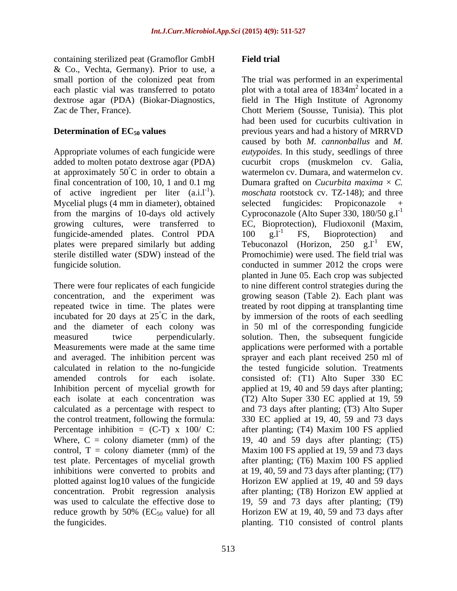containing sterilized peat (Gramoflor GmbH & Co., Vechta, Germany). Prior to use, a small portion of the colonized peat from The trial was performed in an experimental

added to molten potato dextroseagar (PDA) at approximately  $50^{\circ}$ C in order to obtain a of active ingredient per liter  $(a.i.1^{-1})$ . Mycelial plugs (4 mm in diameter), obtained fungicide-amended plates. Control PDA  $100 \text{ g.l}^{-1}$  FS, Bioprotection) and plates were prepared similarly but adding Tebuconazol (Horizon, 250  $g.I^{-1}$  EW, sterile distilled water (SDW) instead of the

There were four replicates of each fungicide each isolate at each concentration was plotted against log10 values of the fungicide Horizon EW applied at 19, 40 and 59 days concentration. Probit regression analysis after planting; (T8) Horizon EW applied at reduce growth by 50% ( $EC_{50}$  value) for all Horizon EW at 19, 40, 59 and 73 days after the fungicides. The fungle planting. T10 consisted of control plants

## **Field trial**

each plastic vial was transferred to potato  $\qquad$  plot with a total area of 1834 $\text{m}^2$  located in a dextrose agar (PDA) (Biokar-Diagnostics, field in The High Institute of Agronomy Zac de Ther, France). Chott Meriem (Sousse, Tunisia). This plot **Determination of EC<sub>50</sub> values** previous years and had a history of MRRVD Appropriate volumes of each fungicide were *eutypoides*. In this study, seedlings of three °C in order to obtain a watermelon cv. Dumara, and watermelon cv. final concentration of 100, 10, 1 and 0.1 mg  $\qquad$  Dumara grafted on *Cucurbita maxima*  $\times$  *C*. ). *moschata* rootstock cv. TZ-148); and three from the margins of 10-days old actively Cyproconazole (Alto Super 330, 180/50 g.l<sup>-1</sup> growing cultures, were transferred to EC, Bioprotection), Fludioxonil (Maxim, fungicide solution. conducted in summer 2012 the crops were concentration, and the experiment was growing season (Table 2). Each plant was repeated twice in time. The plates were treated by root dipping at transplanting time incubated for 20 days at  $25^{\circ}$ C in the dark, by immersion of the roots of each seedling and the diameter of each colony was in 50 ml of the corresponding fungicide measured twice perpendicularly. solution. Then, the subsequent fungicide Measurements were made at the same time applications were performed with a portable and averaged. The inhibition percent was sprayer and each plant received 250 ml of calculated in relation to the no-fungicide the tested fungicide solution. Treatments amended controls for each isolate. consisted of: (T1) Alto Super 330 EC Inhibition percent of mycelial growth for applied at 19, 40 and 59 days after planting; calculated as a percentage with respect to and 73 days after planting; (T3) Alto Super the control treatment, following the formula: 330 EC applied at 19, 40, 59 and 73 days Percentage inhibition  $= (C-T) \times 100/C$ : after planting; (T4) Maxim 100 FS applied Where, C = colony diameter (mm) of the 19, 40 and 59 days after planting; (T5) control, T = colony diameter (mm) of the Maxim 100 FS applied at 19, 59 and 73 days test plate. Percentages of mycelial growth after planting; (T6) Maxim 100 FS applied inhibitions were converted to probits and at 19, 40, 59 and 73 days after planting; (T7) was used to calculate the effective dose to 19, 59 and 73 days after planting; (T9) the fungicides. planting. T10 consisted of control plants<sup>2</sup> located in a had been used for cucurbits cultivation in caused by both *M. cannonballus* and *M.*  cucurbit crops (muskmelon cv. Galia, selected fungicides: Propiconazole +  $100 \text{ g}.\dot{1}$  FS, Bioprotection) and Tebuconazol (Horizon, 250  $g.l^{-1}$ Promochimie) were used. The field trial was planted in June 05. Each crop was subjected to nine different control strategies during the (T2) Alto Super 330 EC applied at 19, 59 Horizon EW applied at 19, 40 and 59 days after planting; (T8) Horizon EW applied at Horizon EW at 19, 40, 59 and 73 days after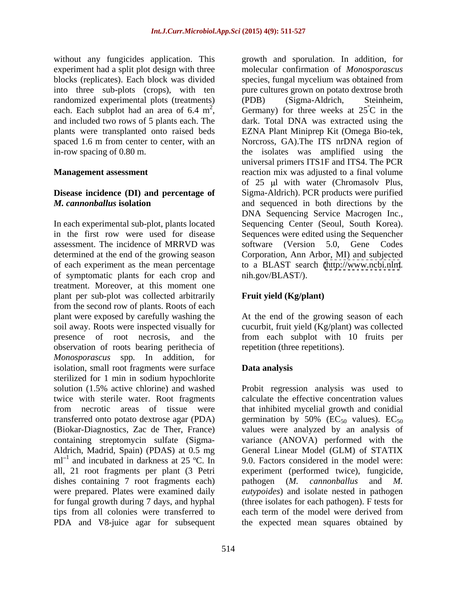without any fungicides application. This growth and sporulation. In addition, for blocks (replicates). Each block was divided randomized experimental plots (treatments) (PDB) (Sigma-Aldrich, Steinheim,

# **Disease incidence (DI) and percentage of**

In each experimental sub-plot, plants located Sequencing Center (Seoul, South Korea). in the first row were used for disease Sequences were edited using the Sequencher assessment. The incidence of MRRVD was software (Version 5.0, Gene Codes determined at the end of the growing season Corporation, Ann Arbor, MI) and subjected of each experiment as the mean percentage to aBLAST search [\(http://www.ncbi.nlm](http://www.ncbi.nlm). of symptomatic plants for each crop and treatment. Moreover, at this moment one plant per sub-plot was collected arbitrarily from the second row of plants. Roots of each plant were exposed by carefully washing the At the end of the growing season of each soil away. Roots were inspected visually for cucurbit, fruit yield (Kg/plant) was collected presence of root necrosis, and the from each subplot with 10 fruits per observation of roots bearing perithecia of *Monosporascus* spp*.* In addition, for isolation, small root fragments were surface **Data analysis** sterilized for 1 min in sodium hypochlorite solution (1.5% active chlorine) and washed twice with sterile water. Root fragments calculate the effective concentration values from necrotic areas of tissue were that inhibited mycelial growth and conidial transferred onto potato dextrose agar (PDA) germination by 50% ( $EC_{50}$  values).  $EC_{50}$ (Biokar-Diagnostics, Zac de Ther, France) values were analyzed by an analysis of containing streptomycin sulfate (Sigma- Aldrich, Madrid, Spain) (PDAS) at 0.5 mg  $ml^{-1}$  and incubated in darkness at 25 °C. In all, 21 root fragments per plant (3 Petri experiment (performed twice), fungicide, dishes containing 7 root fragments each) pathogen (*M. cannonballus* and *M.* were prepared. Plates were examined daily *eutypoides*) and isolate nested in pathogen for fungal growth during 7 days, and hyphal (three isolates for each pathogen). F tests for tips from all colonies were transferred to each term of the model were derived from PDA and V8-juice agar for subsequent the expected mean squares obtained by

experiment had a split plot design with three molecular confirmation of *Monosporascus*  into three sub-plots (crops), with ten pure cultures grown on potato dextrose broth each. Each subplot had an area of 6.4 m<sup>2</sup>, Germany) for three weeks at  $25^{\circ}$ C in the each. Each subplot had an area of 6.4 m<sup>2</sup>, Germany) for three weeks at  $25^{\circ}$ C in the and included two rows of 5 plants each. The dark. Total DNA was extracted using the plants were transplanted onto raised beds EZNA Plant Miniprep Kit (Omega Bio-tek, spaced 1.6 m from center to center, with an Norcross, GA).The ITS nrDNA region of in-row spacing of 0.80 m. the isolates was amplified using the **Management assessment** *reaction mix was adjusted to a final volume M. cannonballus* **isolation** and sequenced in both directions by the species, fungal mycelium was obtained from (PDB) (Sigma-Aldrich, Steinheim, ºC in the dark. Total DNA was extracted using the universal primers ITS1F and ITS4. The PCR of 25 ul with water (Chromasoly Plus, Sigma-Aldrich). PCR products were purified DNA Sequencing Service Macrogen Inc., nih.gov/BLAST/).

## **Fruit yield (Kg/plant)**

repetition (three repetitions).

## **Data analysis**

and incubated in darkness at 25 ºC. In 9.0. Factors considered in the model were: Probit regression analysis was used to germination by 50% ( $EC_{50}$  values).  $EC_{50}$ variance (ANOVA) performed with the General Linear Model (GLM) of STATIX pathogen (*M. cannonballus*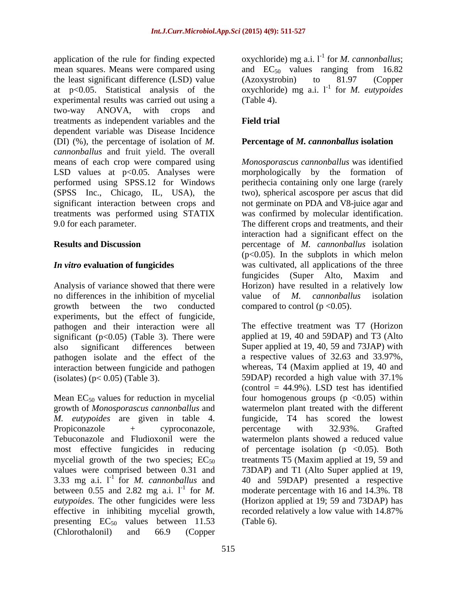the least significant difference (LSD) value (Azoxystrobin) to 81.97 (Copper experimental results was carried out using a (Table 4). two-way ANOVA, with crops and treatments as independent variables and the dependent variable was Disease Incidence (DI) (%), the percentage of isolation of *M. cannonballus* and fruit yield. The overall (SPSS Inc., Chicago, IL, USA), the

Analysis of variance showed that there were no differences in the inhibition of mycelial value of M. cannonballus isolation growth between the two conducted experiments, but the effect of fungicide, pathogen and their interaction were all significant ( $p<0.05$ ) (Table 3). There were pathogen isolate and the effect of the interaction between fungicide and pathogen (isolates)  $(p< 0.05)$  (Table 3). 59DAP) recorded a high value with 37.1%

 $3.33 \text{ mg}$  a.i.  $1^{-1}$  for *M. cannonballus* and between 0.55 and 2.82 mg a.i.  $l^{-1}$  for M. effective in inhibiting mycelial growth, recorded relatively a low value with 14.87% presenting  $EC_{50}$  values between 11.53<br>(Chlorothalonil) and 66.9 (Copper (Chlorothalonil) and 66.9 (Copper

application of the rule for finding expected oxychloride) mg a.i.  $l^{-1}$  for *M. cannonballus*; mean squares. Means were compared using and  $EC_{50}$  values ranging from 16.82 at p<0.05. Statistical analysis of the oxychloride) mg a.i.  $1^{\text{-}1}$  for *M. eutypoides* (Azoxystrobin) to 81.97 (Copper for *M. eutypoides* (Table 4).

## **Field trial**

## **Percentage of** *M. cannonballus* **isolation**

means of each crop were compared using *Monosporascuscannonballus* was identified LSD values at p<0.05. Analyses were morphologically by the formation of performed using SPSS.12 for Windows perithecia containing only one large (rarely significant interaction between crops and not germinate on PDA and V8-juice agar and treatments was performed using STATIX was confirmed by molecular identification. 9.0 for each parameter. The different crops and treatments, and their **Results and Discussion** percentage of *M. cannonballus* isolation *In vitro* **evaluation of fungicides** was cultivated, all applications of the three two), spherical ascospore per ascus that did interaction had a significant effect on the  $(p<0.05)$ . In the subplots in which melon fungicides (Super Alto, Maxim and Horizon) have resulted in a relatively low value of *M. cannonballus* isolation compared to control ( $p < 0.05$ ).

also significant differences between Super applied at 19, 40, 59 and 73JAP) with Mean  $EC_{50}$  values for reduction in mycelial four homogenous groups (p <0.05) within growth of *Monosporascus cannonballus* and watermelon plant treated with the different *M. eutypoides* are given in table 4. fungicide, T4 has scored the lowest<br>Propiconazole + cyproconazole, percentage with 32.93%. Grafted Tebuconazole and Fludioxonil were the watermelon plants showed a reduced value most effective fungicides in reducing of percentage isolation (p <0.05). Both mycelial growth of the two species;  $EC_{50}$  treatments T5 (Maxim applied at 19, 59 and values were comprised between 0.31 and 73DAP) and T1 (Alto Super applied at 19, for *M.*  moderate percentage with 16 and 14.3%. T8 *eutypoides*. The other fungicides were less (Horizon applied at 19; 59 and 73DAP) has The effective treatment was T7 (Horizon applied at 19, 40 and 59DAP) and T3 (Alto a respective values of 32.63 and 33.97%, whereas, T4 (Maxim applied at 19, 40 and 59DAP) recorded a high value with 37.1% (control  $= 44.9\%$ ). LSD test has identified fungicide, T4 has scored the lowest percentage with 32.93%. Grafted 40 and 59DAP) presented a respective recorded relatively a low value with 14.87% (Table 6).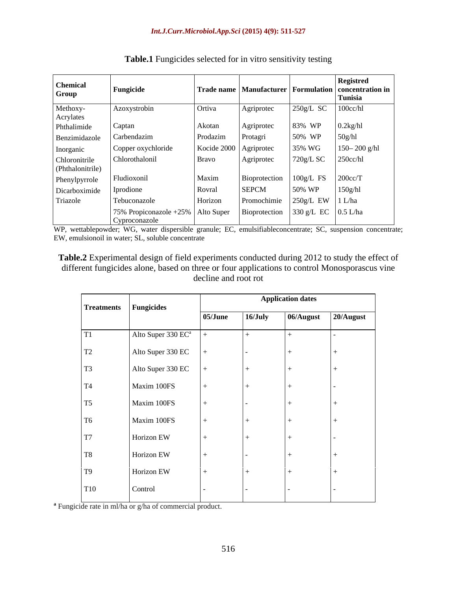| <b>Chemical</b><br>Group | Fungicide                                                                   |              |                                           |                                       | <b>Registred</b><br>$\vert$ Trade name   Manufacturer   Formulation   concentration in $\vert$ |
|--------------------------|-----------------------------------------------------------------------------|--------------|-------------------------------------------|---------------------------------------|------------------------------------------------------------------------------------------------|
| Methoxy-                 |                                                                             |              |                                           |                                       | Tunisia                                                                                        |
| Acrylates                | Azoxystrobin                                                                | Ortiva       | Agriprotec                                |                                       | $250g/L$ SC $100cc/hl$                                                                         |
| Phthalimide              | Captan                                                                      | Akotan       | Agriprotec                                | 83% WP $\big  0.2 \text{kg/hl} \big $ |                                                                                                |
| Benzimidazole            | Carbendazim                                                                 | Prodazim     | Protagri                                  | 50% WP                                | 50g/hl                                                                                         |
| Inorganic                | Copper oxychloride                                                          |              | Kocide 2000   Agriprotec                  | 35% WG                                | $150 - 200$ g/hl                                                                               |
| Chloronitrile            | Chlorothalonil                                                              | <b>Bravo</b> | Agriprotec                                | $720g/L$ SC $\Big  250cc/hl \Big $    |                                                                                                |
| (Phthalonitrile)         |                                                                             |              |                                           |                                       |                                                                                                |
| Phenylpyrrole            | Fludioxonil                                                                 | Maxim        | Bioprotection $100g/L$ FS $\vert$ 200cc/T |                                       |                                                                                                |
| Dicarboximide            | Iprodione                                                                   | Rovral       | <b>SEPCM</b>                              | 50% WP   150g/hl                      |                                                                                                |
| Triazole                 | Tebuconazole                                                                | Horizon      | Promochimie $250g/L$ EW $1 L/ha$          |                                       |                                                                                                |
|                          | 75% Propiconazole +25%   Alto Super   Bioprotection   330 g/L EC   0.5 L/ha |              |                                           |                                       |                                                                                                |
|                          | Cyproconazole                                                               |              |                                           |                                       |                                                                                                |

**Table.1** Fungicides selected for in vitro sensitivity testing

WP, wettablepowder; WG, water dispersible granule; EC, emulsifiableconcentrate; SC, suspension concentrate; EW, emulsionoil in water; SL, soluble concentrate

**Table.2** Experimental design of field experiments conducted during 2012 to study the effect of different fungicides alone, based on three or four applications to control Monosporascus vine decline and root rot

|                | Treatments Fungicides          |         |         | <b>Application dates</b> |     |
|----------------|--------------------------------|---------|---------|--------------------------|-----|
|                |                                | 05/June | 16/July | $06/August$ 20/August    |     |
| T1             | Alto Super 330 EC <sup>a</sup> | $+$     |         |                          |     |
| <b>T2</b>      | Alto Super 330 EC              | $+$     |         |                          | $+$ |
| T <sub>3</sub> | Alto Super 330 EC              | $+$     |         |                          |     |
| <b>T4</b>      | Maxim 100FS                    |         |         |                          |     |
| <b>T5</b>      | Maxim 100FS                    |         |         |                          | $+$ |
| <b>T6</b>      | Maxim 100FS                    | $+$     |         |                          | $+$ |
| T7             | Horizon EW                     | $+$     |         |                          |     |
| <b>T8</b>      | Horizon EW                     | $+$     |         |                          | $+$ |
| T9             | Horizon EW                     | $+$     |         |                          | $+$ |
| <b>T10</b>     | Control                        |         |         |                          |     |

**a** Fungicide rate in ml/ha or g/ha of commercial product.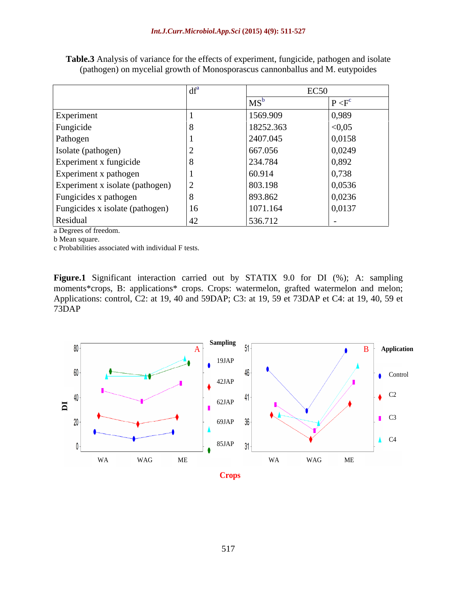|                                 |    |           | EC <sub>50</sub> |
|---------------------------------|----|-----------|------------------|
|                                 |    | $MS^b$    | $P < F^c$        |
| Experiment                      |    | 1569.909  | 0,989            |
| Fungicide                       |    | 18252.363 | < 0.05           |
| Pathogen                        |    | 2407.045  | 0,0158           |
| Isolate (pathogen)              |    | 667.056   | 0,0249           |
| Experiment x fungicide          |    | 234.784   | 0,892            |
| Experiment x pathogen           |    | 60.914    | 0,738            |
| Experiment x isolate (pathogen) |    | 803.198   | 0,0536           |
| Fungicides x pathogen           |    | 893.862   | 0,0236           |
| Fungicides x isolate (pathogen) | 16 | 1071.164  | 0,0137           |
| Residual                        |    | 536.712   |                  |

**Table.3** Analysis of variance for the effects of experiment, fungicide, pathogen and isolate (pathogen) on mycelial growth of Monosporascus cannonballus and M. eutypoides

a Degrees of freedom.

b Mean square. The state of the state of the state of the state of the state of the state of the state of the state of the state of the state of the state of the state of the state of the state of the state of the state of

c Probabilities associated with individual F tests.

**Figure.1** Significant interaction carried out by STATIX 9.0 for DI (%); A: sampling moments\*crops, B: applications\* crops. Crops: watermelon, grafted watermelon and melon; Applications: control, C2: at 19, 40 and 59DAP; C3: at 19, 59 et 73DAP et C4: at 19, 40, 59 et 73DAP

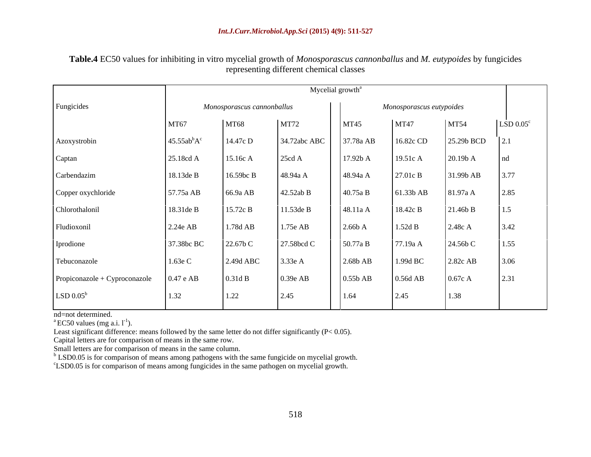|                                  | Mycelial growth <sup>a</sup>        |                            |              |             |                          |             |              |  |  |
|----------------------------------|-------------------------------------|----------------------------|--------------|-------------|--------------------------|-------------|--------------|--|--|
| Fungicides                       |                                     | Monosporascus cannonballus |              |             | Monosporascus eutypoides |             |              |  |  |
|                                  | <b>MT67</b>                         | <b>MT68</b>                | MT72         | <b>MT45</b> | <b>MT47</b>              | <b>MT54</b> | $LSD 0.05^c$ |  |  |
| Azoxystrobin                     | 45.55ab <sup>b</sup> A <sup>c</sup> | 14.47c D                   | 34.72abc ABC | 37.78a AB   | 16.82c CD                | 25.29b BCD  |              |  |  |
| Captan                           | 25.18cd A                           | 15.16c A                   | 25cd A       | 17.92b A    | 19.51c A                 | 20.19b A    | Ind          |  |  |
| Carbendazim                      | 18.13de B                           | 16.59bc B                  | 48.94a A     | 48.94a A    | 27.01c B                 | 31.99b AB   | 3.77         |  |  |
| Copper oxychloride               | 57.75a AB                           | 66.9a AB                   | 42.52ab B    | 40.75a B    | 61.33b AB                | 81.97a A    | 2.85         |  |  |
| Chlorothalonil                   | 18.31de B                           | 15.72c B                   | 11.53de B    | 48.11a A    | 18.42c B                 | 21.46b B    | 1.5          |  |  |
| Fludioxonil                      | 2.24e AB                            | 1.78d AB                   | 1.75e AB     | 2.66bA      | 1.52d B                  | 2.48c A     | 3.42         |  |  |
| Iprodione                        | 37.38bc BC                          | 22.67b C                   | 27.58bcd C   | 50.77a B    | 77.19a A                 | 24.56b C    | 1.55         |  |  |
| Tebuconazole                     | 1.63e C                             | 2.49d ABC                  | 3.33e A      | $2.68b$ AB  | 1.99d BC                 | 2.82c AB    | 3.06         |  |  |
| Propiconazole + Cyproconazole    | $0.47$ e AB                         | 0.31d B                    | 0.39e AB     | $0.55b$ AB  | $0.56d$ AB               | 0.67c A     | 2.31         |  |  |
| $\mathrm{LSD}~0.05^{\mathrm{b}}$ | 1.32                                | 1.22                       | 2.45         | 1.64        | 2.45                     | 1.38        |              |  |  |

**Table.4** EC50 values for inhibiting in vitro mycelial growth of *Monosporascus cannonballus* and *M. eutypoides* by fungicides representing different chemical classes

nd=not determined.<br><sup>a</sup> EC50 values (mg a.i. l<sup>-1</sup>). ).

Least significant difference: means followed by the same letter do not differ significantly (P< 0.05).

Capital letters are for comparison of means in the same row.

 $b$  LSD0.05 is for comparison of means among pathogens with the same fungicide on mycelial growth.

<sup>c</sup>LSD0.05 is for comparison of means among fungicides in the same pathogen on mycelial growth.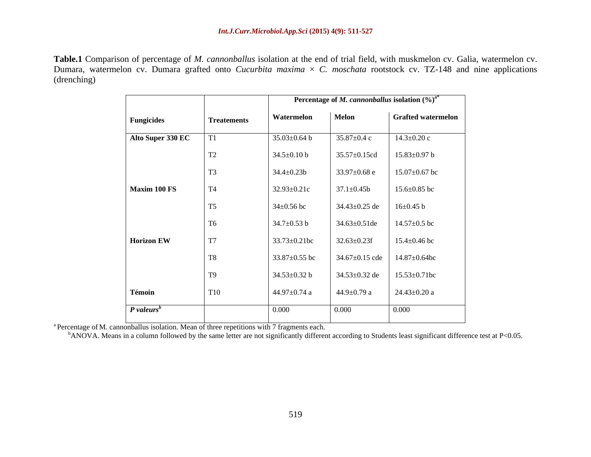**Table.1** Comparison of percentage of *M. cannonballus* isolation at the end of trial field, with muskmelon cv. Galia, watermelon cv. Dumara, watermelon cv. Dumara grafted onto *Cucurbita maxima*  $\times$  *C. moschata* rootstock cv. TZ-148 and nine applications (drenching)

|                          |                    |                     |                     | <b>Percentage of M. cannonballus isolation</b> $(\%)^a$ <sup>*</sup> |
|--------------------------|--------------------|---------------------|---------------------|----------------------------------------------------------------------|
| Fungicides               | <b>Treatements</b> | Watermelon          | Melon               | <b>Grafted watermelon</b>                                            |
| Alto Super 330 EC        | T1                 | $35.03 \pm 0.64$ b  | $35.87 \pm 0.4$ c   | $14.3 \pm 0.20$ c                                                    |
|                          | <b>T2</b>          | $34.5 \pm 0.10$ b   | 35.57±0.15cd        | $15.83 \pm 0.97$ b                                                   |
|                          | T <sub>3</sub>     | $34.4 \pm 0.23b$    | $33.97 \pm 0.68$ e  | $15.07 \pm 0.67$ bc                                                  |
| Maxim 100 FS             | <b>T4</b>          | $32.93 \pm 0.21c$   | $37.1 \pm 0.45$ b   | $15.6 \pm 0.85$ bc                                                   |
|                          | T <sub>5</sub>     | $34 \pm 0.56$ bc    | $34.43 \pm 0.25$ de | $16 \pm 0.45$ b                                                      |
|                          | T <sub>6</sub>     | $34.7 \pm 0.53$ b   | $34.63 \pm 0.51$ de | $14.57 \pm 0.5$ bc                                                   |
| <b>Horizon EW</b>        | T7                 | $33.73 \pm 0.21$ bc | $32.63 \pm 0.23$ f  | $15.4 \pm 0.46$ bc                                                   |
|                          | <b>T8</b>          | 33.87 $\pm$ 0.55 bc |                     | $34.67 \pm 0.15$ cde   14.87 $\pm$ 0.64bc                            |
|                          | T <sub>9</sub>     | $34.53 \pm 0.32$ b  | $34.53 \pm 0.32$ de | $15.53 \pm 0.71$ bc                                                  |
| Témoin                   | <b>T10</b>         | $44.97 \pm 0.74$ a  | $44.9 \pm 0.79$ a   | $24.43 \pm 0.20$ a                                                   |
| $P$ valeurs <sup>b</sup> |                    | 0.000               | 0.000               | 0.000                                                                |

<sup>a</sup> Percentage of M. cannonballus isolation. Mean of three repetitions with 7 fragments each.<br><sup>b</sup>ANOVA. Means in a column followed by the same letter are not significantly different according to Students least significant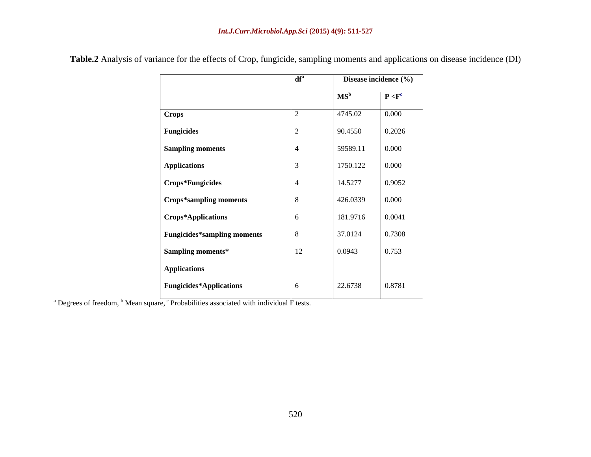|                                    | df <sup>a</sup> |                 | Disease incidence (%) |
|------------------------------------|-----------------|-----------------|-----------------------|
|                                    |                 | MS <sup>b</sup> | P < F <sup>c</sup>    |
| Crops                              |                 | 4745.02         | 0.000                 |
| <b>Fungicides</b>                  |                 | 90.4550         | 0.2026                |
| <b>Sampling moments</b>            |                 | 59589.11        | 0.000                 |
| <b>Applications</b>                |                 | 1750.122        | 0.000                 |
| Crops*Fungicides                   |                 | 14.5277         | 0.9052                |
| <b>Crops*sampling moments</b>      | 8               | 426.0339        | 0.000                 |
| Crops*Applications                 | 6               | 181.9716        | 0.0041                |
| <b>Fungicides*sampling moments</b> | 8               | 37.0124         | 0.7308                |
| Sampling moments*                  | 12              | 0.0943          | 0.753                 |
| <b>Applications</b>                |                 |                 |                       |
| <b>Fungicides*Applications</b>     | 6               | 22.6738         | 0.8781                |

**Table.2** Analysis of variance for the effects of Crop, fungicide, sampling moments and applications on disease incidence (DI)

<sup>a</sup> Degrees of freedom, <sup>b</sup> Mean square, <sup>c</sup> Probabilities associated with individual F tests.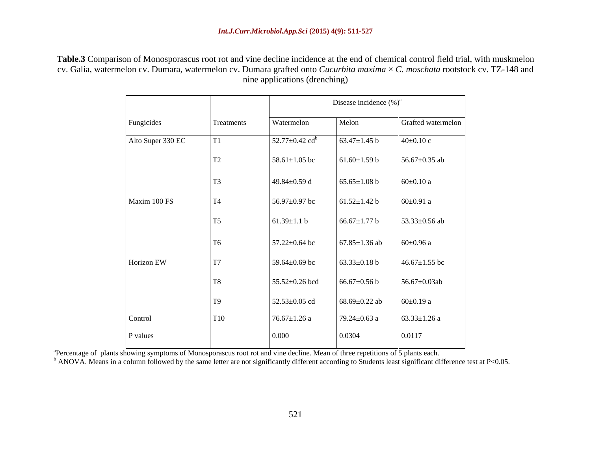**Table.3** Comparison of Monosporascus root rot and vine decline incidence at the end of chemical control field trial, with muskmelon cv. Galia, watermelon cv. Dumara, watermelon cv. Dumara grafted onto *Cucurbita maxima* × *C. moschata* rootstock cv. TZ-148 and nine applications (drenching)

|                   |                |                                  | Disease incidence $(\%)^a$ |                     |
|-------------------|----------------|----------------------------------|----------------------------|---------------------|
| Fungicides        | Treatments     | Watermelon                       | Melon                      | Grafted watermelon  |
| Alto Super 330 EC |                | $52.77 \pm 0.42$ cd <sup>b</sup> | 63.47 $\pm$ 1.45 b         | $40 \pm 0.10$ c     |
|                   | T2             | 58.61 $\pm$ 1.05 bc              | $61.60 \pm 1.59$ b         | 56.67 $\pm$ 0.35 ab |
|                   | T <sub>3</sub> | 49.84 $\pm$ 0.59 d               | $65.65 \pm 1.08$ b         | $60\pm0.10$ a       |
| Maxim 100 FS      | <b>T4</b>      | 56.97±0.97 bc                    | $61.52 \pm 1.42$ b         | $60\pm0.91$ a       |
|                   | T <sub>5</sub> | $61.39 \pm 1.1 b$                | $66.67 \pm 1.77$ b         | 53.33 $\pm$ 0.56 ab |
|                   | T <sub>6</sub> | $57.22 \pm 0.64$ bc              | $67.85 \pm 1.36$ ab        | $60\pm0.96$ a       |
| Horizon EW        | T7             | 59.64 $\pm$ 0.69 bc              | 63.33 $\pm$ 0.18 b         | 46.67 $\pm$ 1.55 bc |
|                   | <b>T8</b>      | 55.52±0.26 bcd                   | $66.67{\pm}0.56$ b         | $56.67 \pm 0.03$ ab |
|                   | T9             | 52.53±0.05 cd                    | 68.69 $\pm$ 0.22 ab        | $60\pm0.19$ a       |
| Control           | <b>T10</b>     | $76.67{\pm}1.26$ a               | 79.24 $\pm$ 0.63 a         | $63.33 \pm 1.26$ a  |
| P values          |                | 0.000                            | 0.0304                     | 0.0117              |

<sup>a</sup>Percentage of plants showing symptoms of Monosporascus root rot and vine decline. Mean of three repetitions of 5 plants each.

<sup>b</sup> ANOVA. Means in a column followed by the same letter are not significantly different according to Students least significant difference test at P<0.05.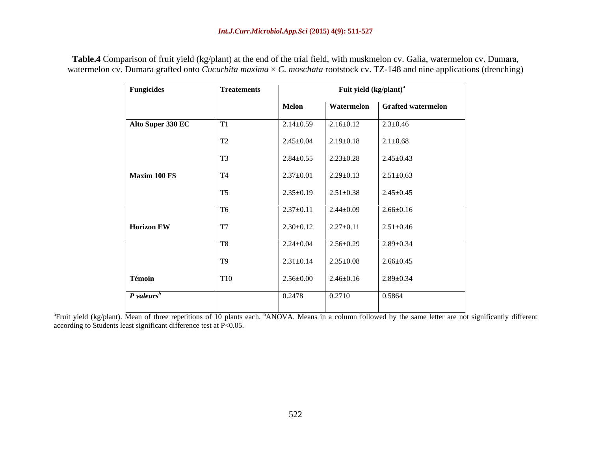| <b>Fungicides</b>        | <b>Treatements</b> |                 | Fuit yield (kg/plant) <sup>a</sup> |                                 |
|--------------------------|--------------------|-----------------|------------------------------------|---------------------------------|
|                          |                    | Melon           |                                    | Watermelon   Grafted watermelon |
| Alto Super 330 EC        | T1                 | $2.14 \pm 0.59$ | $2.16 \pm 0.12$                    | $2.3 \pm 0.46$                  |
|                          | T2                 | $2.45 \pm 0.04$ | $2.19 \pm 0.18$                    | $2.1 \pm 0.68$                  |
|                          | T <sub>3</sub>     | $2.84 \pm 0.55$ | $2.23 \pm 0.28$                    | $2.45 \pm 0.43$                 |
| Maxim 100 FS             | <b>T4</b>          | $2.37 \pm 0.01$ | $2.29 \pm 0.13$                    | $2.51 \pm 0.63$                 |
|                          | T <sub>5</sub>     | $2.35 \pm 0.19$ | $2.51 \pm 0.38$                    | $2.45 \pm 0.45$                 |
|                          | T <sub>6</sub>     | $2.37 \pm 0.11$ | $2.44 \pm 0.09$                    | $2.66 \pm 0.16$                 |
| Horizon EW               | <b>T7</b>          | $2.30 \pm 0.12$ | $2.27 \pm 0.11$                    | $2.51 \pm 0.46$                 |
|                          | <b>T8</b>          | $2.24 \pm 0.04$ | $2.56 \pm 0.29$                    | $2.89 \pm 0.34$                 |
|                          | <b>T9</b>          | $2.31 \pm 0.14$ | $2.35 \pm 0.08$                    | $2.66 \pm 0.45$                 |
| Témoin                   | T <sub>10</sub>    | $2.56 \pm 0.00$ | $2.46 \pm 0.16$                    | $2.89 \pm 0.34$                 |
| $P$ valeurs <sup>b</sup> |                    | 0.2478          | 0.2710                             | 0.5864                          |
|                          |                    |                 |                                    |                                 |

**Table.4** Comparison of fruit yield (kg/plant) at the end of the trial field, with muskmelon cv. Galia, watermelon cv. Dumara, watermelon cv. Dumara grafted onto *Cucurbita maxima* × *C. moschata* rootstock cv. TZ-148 and nine applications (drenching)

<sup>a</sup>Fruit yield (kg/plant). Mean of three repetitions of 10 plants each. <sup>b</sup>ANOVA. Means in a column followed by the same letter are not significantly different according to Students least significant difference test at P<0.05.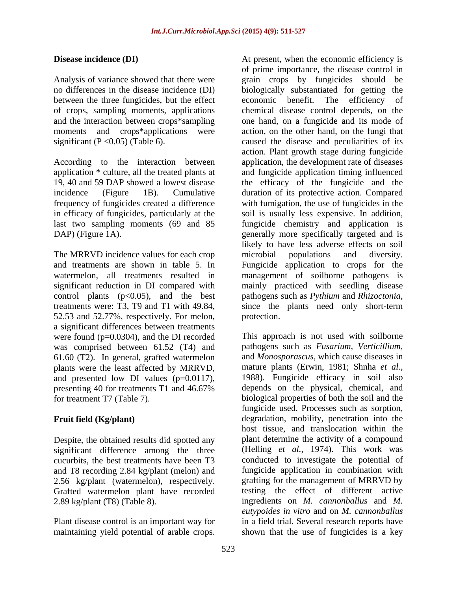between the three fungicides, but the effect economic benefit. The efficiency of of crops, sampling moments, applications moments and crops\*applications were

in efficacy of fungicides, particularly at the

The MRRVD incidence values for each crop microbial populations and diversity. significant reduction in DI compared with control plants  $(p<0.05)$ , and the best pathogens such as *Pythium* and *Rhizoctonia*, treatments were: T3, T9 and T1 with 49.84, since the plants need only short-term 52.53 and 52.77%, respectively. For melon, a significant differences between treatments<br>were found  $(p=0.0304)$ , and the DI recorded was comprised between 61.52 (T4) and 61.60 (T2). In general, grafted watermelon plants were the least affected by MRRVD, and presented low DI values (p=0.0117),

Despite, the obtained results did spotted any and T8 recording 2.84 kg/plant (melon) and 2.56 kg/plant (watermelon), respectively. Grafted watermelon plant have recorded

**Disease incidence (DI)** At present, when the economic efficiency is Analysis of variance showed that there were grain crops by fungicides should be no differences in the disease incidence (DI) biologically substantiated for getting the and the interaction between crops\*sampling one hand, on a fungicide and its mode of significant (P <0.05) (Table 6). caused the disease and peculiarities of its According to the interaction between application, the development rate of diseases application \* culture, all the treated plants at and fungicide application timing influenced 19, 40 and 59 DAP showed a lowest disease the efficacy of the fungicide and the incidence (Figure 1B). Cumulative duration of its protective action. Compared frequency of fungicides created a difference with fumigation, the use of fungicides in the last two sampling moments (69 and 85 fungicide chemistry and application is DAP) (Figure 1A). The specifically more specifically targeted and is and treatments are shown in table 5. In Fungicide application to crops for the watermelon, all treatments resulted in management of soilborne pathogens is **Disease includent (DI)** A computer of a present, when the economic efficiency is analyzed of arable constrained by the special of areas of area of areas of area of area of area of area of area of area of area of area of of prime importance, the disease control in economic benefit. The efficiency chemical disease control depends, on the action, on the other hand, on the fungi that action. Plant growth stage during fungicide soil is usually less expensive. In addition, likely to have less adverse effects on soil microbial populations and diversity. mainly practiced with seedling disease pathogens such as *Pythium* and *Rhizoctonia*, since the plants need only short-term protection.

were found (p=0.0304), and the DI recorded This approach is not used with soilborne presenting 40 for treatments T1 and 46.67% depends on the physical, chemical, and for treatment T7 (Table 7). biological properties of both the soil and the **Fruit field (Kg/plant)** degradation, mobility, penetration into the significant difference among the three (Helling *et al.,* 1974). This work was cucurbits, the best treatments have been T3 conducted to investigate the potential of 2.89 kg/plant (T8) (Table 8). ingredients on *M. cannonballus* and *M.* Plant disease control is an important way for in a field trial. Several research reports have pathogens such as *Fusarium, Verticillium,* and *Monosporascus*, which cause diseases in mature plants (Erwin, 1981; Shnha *et al.,* 1988). Fungicide efficacy in soil also depends on the physical, chemical, and fungicide used. Processes such as sorption, host tissue, and translocation within the plant determine the activity of a compound fungicide application in combination with grafting for the management of MRRVD by testing the effect of different active *eutypoides in vitro* and on *M. cannonballus* shown that the use of fungicides is a key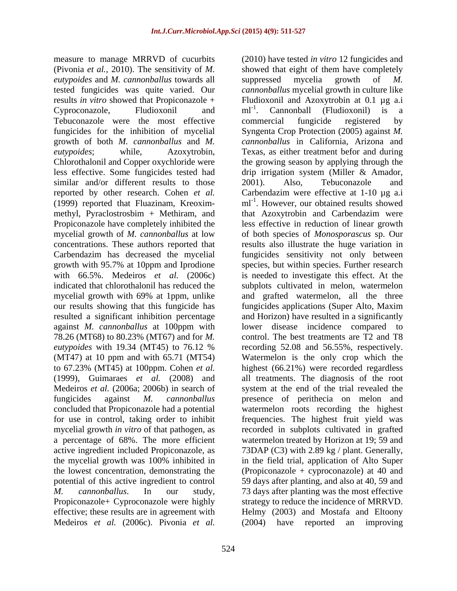measure to manage MRRVD of cucurbits (2010) have tested *in vitro* 12 fungicides and (Pivonia *et al.*, 2010). The sensitivity of *M*. Showed that eight of them have completely *eutypoides* and *M. cannonballus* towards all tested fungicides was quite varied. Our *cannonballus* mycelial growth in culture like results *in vitro* showed that Propiconazole + Fludioxonil and Azoxytrobin at 0.1 µg a.i Cyproconazole, Fludioxonil and ml<sup>-1</sup>. Cannonball (Fludioxonil) is a Tebuconazole were the most effective commercial fungicide registered by fungicides for the inhibition of mycelial Syngenta Crop Protection (2005) against *M.*  growth of both *M. cannonballus* and *M. eutypoides*; while, Azoxytrobin, Texas, as either treatment befor and during Chlorothalonil and Copper oxychloride were the growing season by applying through the less effective. Some fungicides tested had a drip irrigation system (Miller & Amador, similar and/or different results to those 2001). Also, Tebuconazole and reported by other research. Cohen *et al.* Carbendazim were effective at 1-10 µg a.i (1999) reported that Fluazinam, Kreoxim- ml-1 . However, our obtained results showed methyl, Pyraclostrosbim + Methiram, and that Azoxytrobin and Carbendazim were Propiconazole have completely inhibited the less effective in reduction of linear growth mycelial growth of *M. cannonballus* at low of both species of *Monosporascus* sp. Our concentrations. These authors reported that results also illustrate the huge variation in Carbendazim has decreased the mycelial fungicides sensitivity not only between growth with 95.7% at 10ppm and Iprodione species, but within species. Further research with 66.5%. Medeiros *et al.* (2006c) is needed to investigate this effect. At the indicated that chlorothalonil has reduced the subplots cultivated in melon, watermelon mycelial growth with 69% at 1ppm, unlike and grafted watermelon, all the three our results showing that this fungicide has fungicides applications (Super Alto, Maxim resulted a significant inhibition percentage and Horizon) have resulted in a significantly against *M. cannonballus* at 100ppm with 78.26 (MT68) to 80.23% (MT67) and for *M. eutypoides* with 19.34 (MT45) to 76.12 % recording 52.08 and 56.55%, respectively. (MT47) at 10 ppm and with 65.71 (MT54) Watermelon is the only crop which the to 67.23% (MT45) at 100ppm. Cohen *et al.* highest (66.21%) were recorded regardless (1999), Guimaraes *et al.* (2008) and all treatments. The diagnosis of the root Medeiros *et al.* (2006a; 2006b) in search of system at the end of the trial revealed the fungicides against *M. cannonballus* presence of perithecia on melon and concluded that Propiconazole had a potential watermelon roots recording the highest for use in control, taking order to inhibit frequencies. The highest fruit yield was mycelial growth *in vitro* of that pathogen, as recorded in subplots cultivated in grafted a percentage of 68%. The more efficient watermelon treated by Horizon at 19; 59 and active ingredient included Propiconazole, as 73DAP (C3) with 2.89 kg / plant. Generally, the mycelial growth was 100% inhibited in the lowest concentration, demonstrating the (Propiconazole + cyproconazole) at 40 and potential of this active ingredient to control 59 days after planting, and also at 40, 59 and *M. cannonballus*. In our study, 73 days after planting was the most effective Propiconazole+ Cyproconazole were highly effective; these results are in agreement with Helmy (2003) and Mostafa and Eltoony Medeiros *et al.* (2006c). Pivonia *et al.*

suppressed mycelia growth of *M.*  ml<sup>-1</sup>. Cannonball (Fludioxonil) is a . Cannonball (Fludioxonil) is a commercial fungicide registered by *cannonballus* in California, Arizona and 2001). Also, Tebuconazole and lower disease incidence compared to control. The best treatments are T2 and T8 in the field trial, application of Alto Super strategy to reduce the incidence of MRRVD. (2004) have reported an improving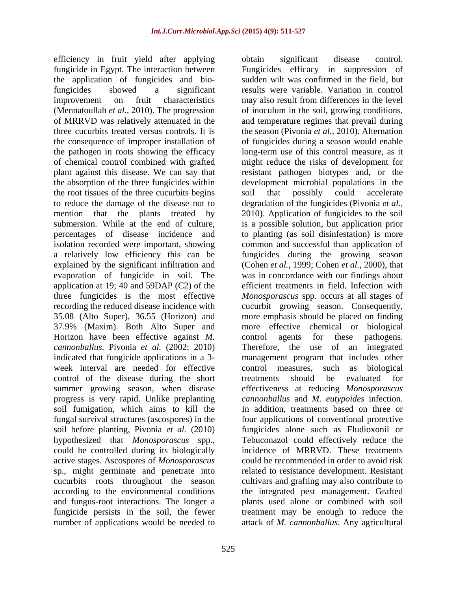efficiency in fruit yield after applying obtain significant disease control. fungicide in Egypt. The interaction between the application of fungicides and biofungicides showed a significant results were variable. Variation in control improvement on fruit characteristics may also result from differences in the level (Mennatoullah *et al.,* 2010). The progression of inoculum in the soil, growing conditions, of MRRVD was relatively attenuated in the three cucurbits treated versus controls. It is the season (Pivonia *et al.,* 2010). Alternation the consequence of improper installation of of fungicides during a season would enable the pathogen in roots showing the efficacy long-term use of this control measure, as it of chemical control combined with grafted might reduce the risks of development for plant against this disease. We can say that resistant pathogen biotypes and, or the the absorption of the three fungicides within development microbial populations in the the root tissues of the three cucurbits begins soil that possibly could accelerate to reduce the damage of the disease not to degradation of the fungicides (Pivonia *et al.,* mention that the plants treated by 2010). Application of fungicides to the soil submersion. While at the end of culture, is a possible solution, but application prior percentages of disease incidence and to planting (as soil disinfestation) is more isolation recorded were important, showing common and successful than application of a relatively low efficiency this can be fungicides during the growing season explained by the significant infiltration and (Cohen *et al.,* 1999; Cohen *et al.,* 2000), that evaporation of fungicide in soil. The was in concordance with our findings about application at 19; 40 and 59DAP (C2) of the three fungicides is the most effective *Monosporascus* spp. occurs at all stages of recording the reduced disease incidence with cucurbit growing season. Consequently, 35.08 (Alto Super), 36.55 (Horizon) and more emphasis should be placed on finding 37.9% (Maxim). Both Alto Super and Horizon have been effective against *M*. control agents for these pathogens. *cannonballus*. Pivonia *et al.* (2002; 2010) indicated that fungicide applications in a 3- management program that includes other week interval are needed for effective control measures, such as biological control of the disease during the short treatments should be evaluated for summer growing season, when disease effectivenessat reducing *Monosporascus*  progress is very rapid. Unlike preplanting *cannonballus* and *M. eutypoides* infection. soil fumigation, which aims to kill the fungal survival structures (ascospores) in the soil before planting, Pivonia *et al.* (2010) hypothesized that *Monosporascus* spp., Tebuconazol could effectively reduce the could be controlled during its biologically active stages. Ascospores of *Monosporascus* sp., might germinate and penetrate into related to resistance development. Resistant cucurbits roots throughout the season cultivars and grafting may also contribute to according to the environmental conditions the integrated pest management. Grafted and fungus-root interactions. The longer a plants used alone or combined with soil fungicide persists in the soil, the fewer treatment may be enough to reduce the number of applications would be needed to attack of *M. cannonballus*. Any agricultural

obtain significant disease control. Fungicides efficacy in suppression of sudden wilt was confirmed in the field, but may also result from differences in the level and temperature regimes that prevail during soil that possibly could accelerate efficient treatments in field. Infection with more effective chemical or control agents for these pathogens. Therefore, the use of an control measures, such as biological treatments should be evaluated for In addition, treatments based on three or four applications of conventional protective fungicides alone such as Fludioxonil or incidence of MRRVD. These treatments could be recommended in order to avoid risk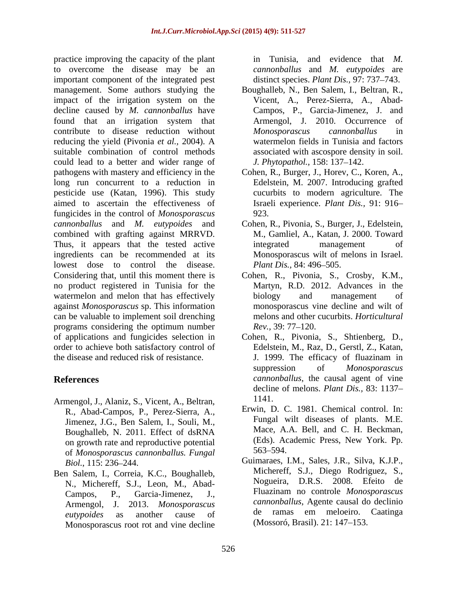practice improving the capacity of the plant in Tunisia, and evidence that M. to overcome the disease may be an important component of the integrated pest management. Some authors studying the Boughalleb, N., Ben Salem, I., Beltran, R., impact of the irrigation system on the decline caused by *M. cannonballus* have Campos, P., Garcia-Jimenez, J. and found that an irrigation system that Armengol, J. 2010. Occurrence of contribute to disease reduction without *Monosporascus cannonballus* in reducing the yield (Pivonia *et al.,* 2004). A suitable combination of control methods could lead to a better and wider range of pathogens with mastery and efficiency in the Cohen, R., Burger, J., Horev, C., Koren, A., long run concurrent to a reduction in pesticide use (Katan, 1996). This study aimed to ascertain the effectiveness of Israeli experience. *Plant Dis.,* 91: 916 fungicides in the control of *Monosporascus cannonballus* and *M. eutypoides* and Cohen, R., Pivonia, S., Burger, J., Edelstein, combined with grafting against MRRVD. Thus, it appears that the tested active integrated management of ingredients can be recommended at its lowest dose to control the disease. *Plant Dis.*, 84: 496–505. Considering that, until this moment there is Cohen, R., Pivonia, S., Crosby, K.M., no product registered in Tunisia for the watermelon and melon that has effectively biology and management of against *Monosporascus* sp. This information can be valuable to implement soil drenching programs considering the optimum number  $\text{Rev.}$ , 39: 77–120. of applications and fungicides selection in Cohen, R., Pivonia, S., Shtienberg, D., order to achieve both satisfactory control of the disease and reduced risk of resistance. I. 1999. The efficacy of fluazinam in

- Armengol, J., Alaniz, S., Vicent, A., Beltran, R., Abad-Campos, P., Perez-Sierra, A., Jimenez, J.G., Ben Salem, I., Souli, M., Boughalleb, N. 2011. Effect of dsRNA on growth rate and reproductive potential (Eds). As<br>of Monosparascus cannophallus Eunoal 563–594. of *Monosporascus cannonballus. Fungal*
- N., Michereff, S.J., Leon, M., Abad- Monosporascus root rot and vine decline

in Tunisia, and evidence that *M. cannonballus* and *M. eutypoides* are distinct species. *Plant Dis.*, 97: 737–743.

- Vicent, A., Perez-Sierra, A., Abad- Armengol, J. 2010. Occurrence *Monosporascus cannonballus* in watermelon fields in Tunisia and factors associated with ascospore density in soil. *J. Phytopathol.,* 158: 137–142.
- Edelstein, M. 2007. Introducing grafted cucurbits to modern agriculture. The 923.
- M., Gamliel, A., Katan, J. 2000. Toward integrated management of Monosporascus wilt of melons in Israel. *Plant Dis., 84: 496–505.*
- Martyn, R.D. 2012. Advances in the biology and management of monosporascus vine decline and wilt of melons and other cucurbits. *Horticultural Rev.*, 39: 77–120.
- **References** *cannonballus*, the causal agent of vine Edelstein, M., Raz, D., Gerstl, Z., Katan, J. 1999. The efficacy of fluazinam in suppression of *Monosporascus*  decline of melons. *Plant Dis.,* 83: 1137 1141.
	- Erwin, D. C. 1981. Chemical control. In: Fungal wilt diseases of plants. M.E. Mace, A.A. Bell, and C. H. Beckman, (Eds). Academic Press, New York. Pp. 563–594.
- *Biol.*, 115: 236–244. **Guimaraes, I.M., Sales, J.R., Silva, K.J.P.**, Ben Salem, I., Correia, K.C., Boughalleb, Michereff, S.J., Diego Rodriguez, S., N. Michereff S.J., Leon M. Abad. Nogueira, D.R.S. 2008. Efeito de Campos, P., Garcia-Jimenez, J., Fluazinam no controle *Monosporascus*  Armengol, J. 2013. *Monosporascus cannonballus*, Agente causal do declinio *eutypoides* as another cause of de ramas em meloeiro. Caatinga Michereff, S.J., Diego Rodriguez, S., Nogueira, D.R.S. 2008. Efeito de (Mossoró, Brasil). 21: 147–153.